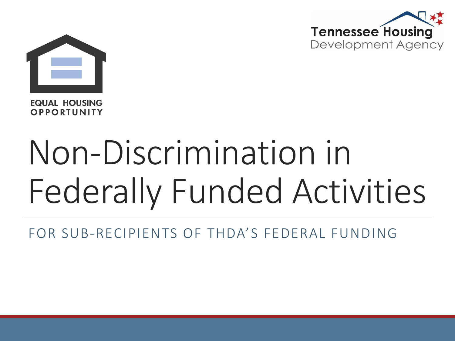



**EQUAL HOUSING** OPPORTUNITY

# Non-Discrimination in Federally Funded Activities

FOR SUB-RECIPIENTS OF THDA'S FEDERAL FUNDING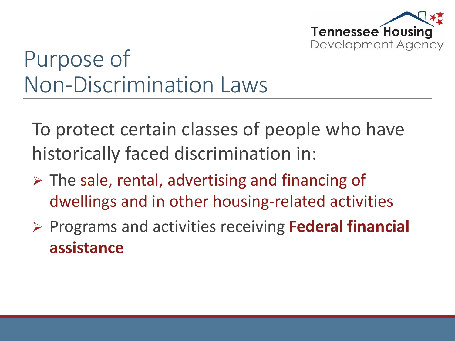

# Purpose of Non-Discrimination Laws

To protect certain classes of people who have historically faced discrimination in:

- $\triangleright$  The sale, rental, advertising and financing of dwellings and in other housing-related activities
- Programs and activities receiving **Federal financial assistance**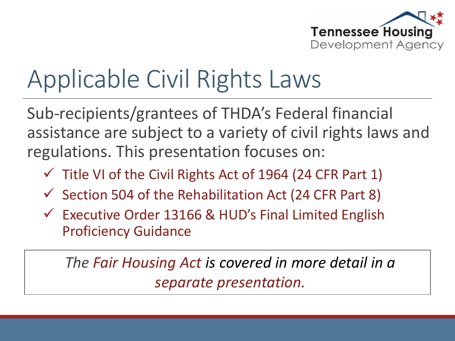

# Applicable Civil Rights Laws

Sub-recipients/grantees of THDA's Federal financial assistance are subject to a variety of civil rights laws and regulations. This presentation focuses on:

- $\checkmark$  Title VI of the Civil Rights Act of 1964 (24 CFR Part 1)
- $\checkmark$  Section 504 of the Rehabilitation Act (24 CFR Part 8)
- $\checkmark$  Executive Order 13166 & HUD's Final Limited English Proficiency Guidance

*The Fair Housing Act is covered in more detail in a separate presentation.*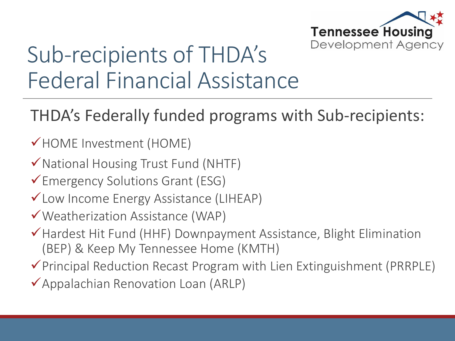

#### Sub-recipients of THDA's Federal Financial Assistance

#### THDA's Federally funded programs with Sub-recipients:

- HOME Investment (HOME)
- $\checkmark$  National Housing Trust Fund (NHTF)
- Emergency Solutions Grant (ESG)
- Low Income Energy Assistance (LIHEAP)
- Weatherization Assistance (WAP)
- $\checkmark$  Hardest Hit Fund (HHF) Downpayment Assistance, Blight Elimination (BEP) & Keep My Tennessee Home (KMTH)
- $\checkmark$  Principal Reduction Recast Program with Lien Extinguishment (PRRPLE)
- $\checkmark$ Appalachian Renovation Loan (ARLP)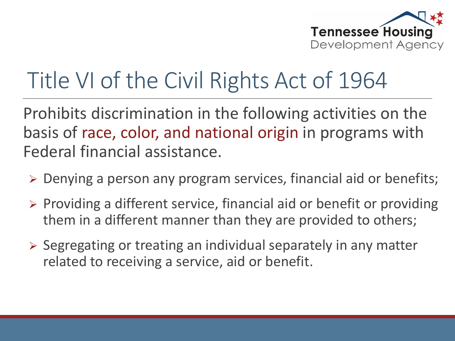

### Title VI of the Civil Rights Act of 1964

Prohibits discrimination in the following activities on the basis of race, color, and national origin in programs with Federal financial assistance.

- Denying a person any program services, financial aid or benefits;
- $\triangleright$  Providing a different service, financial aid or benefit or providing them in a different manner than they are provided to others;
- $\triangleright$  Segregating or treating an individual separately in any matter related to receiving a service, aid or benefit.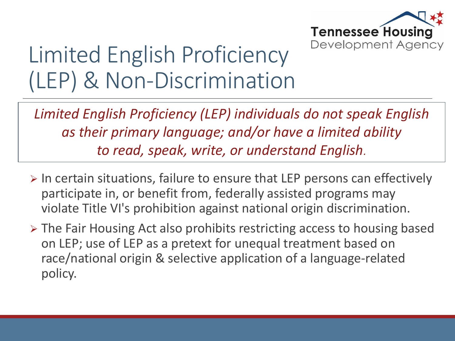

### Limited English Proficiency (LEP) & Non-Discrimination

*Limited English Proficiency (LEP) individuals do not speak English as their primary language; and/or have a limited ability to read, speak, write, or understand English.* 

- $\triangleright$  In certain situations, failure to ensure that LEP persons can effectively participate in, or benefit from, federally assisted programs may violate Title VI's prohibition against national origin discrimination.
- > The Fair Housing Act also prohibits restricting access to housing based on LEP; use of LEP as a pretext for unequal treatment based on race/national origin & selective application of a language-related policy.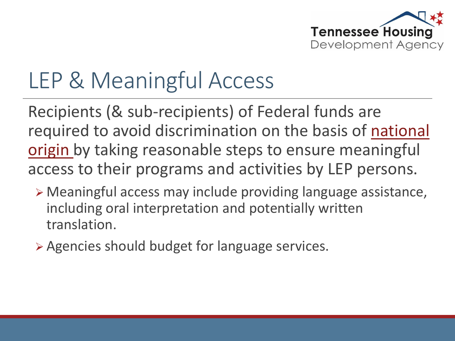

### LEP & Meaningful Access

Recipients (& sub-recipients) of Federal funds are required to avoid discrimination on the basis of national origin by taking reasonable steps to ensure meaningful access to their programs and activities by LEP persons.

- Meaningful access may include providing language assistance, including oral interpretation and potentially written translation.
- Agencies should budget for language services.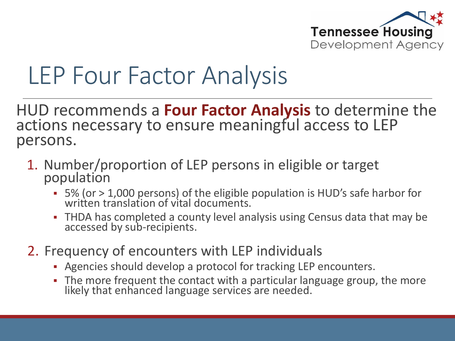

# LEP Four Factor Analysis

HUD recommends a **Four Factor Analysis** to determine the actions necessary to ensure meaningful access to LEP persons.

- 1. Number/proportion of LEP persons in eligible or target population
	- 5% (or > 1,000 persons) of the eligible population is HUD's safe harbor for written translation of vital documents.
	- THDA has completed a county level analysis using Census data that may be accessed by sub-recipients.
- 2. Frequency of encounters with LEP individuals
	- Agencies should develop a protocol for tracking LEP encounters.
	- The more frequent the contact with a particular language group, the more likely that enhanced language services are needed.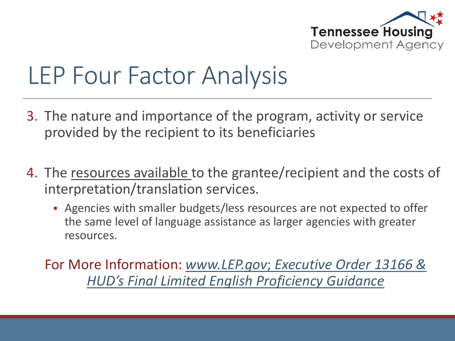

# LEP Four Factor Analysis

- 3. The nature and importance of the program, activity or service provided by the recipient to its beneficiaries
- 4. The resources available to the grantee/recipient and the costs of interpretation/translation services.
	- Agencies with smaller budgets/less resources are not expected to offer the same level of language assistance as larger agencies with greater resources.

For More Information: *www.LEP.gov*; *[Executive Order 13166 &](http://www.lep.gov/)  HUD's Final Limited English Proficiency Guidance*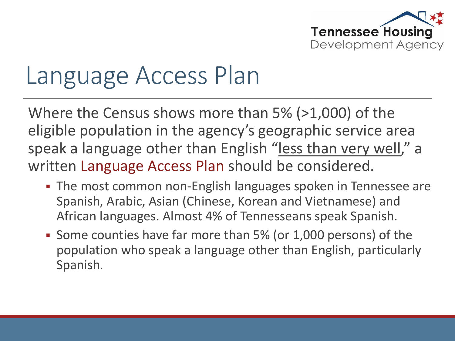

# Language Access Plan

Where the Census shows more than 5% (>1,000) of the eligible population in the agency's geographic service area speak a language other than English "less than very well," a written Language Access Plan should be considered.

- The most common non-English languages spoken in Tennessee are Spanish, Arabic, Asian (Chinese, Korean and Vietnamese) and African languages. Almost 4% of Tennesseans speak Spanish.
- Some counties have far more than 5% (or 1,000 persons) of the population who speak a language other than English, particularly Spanish.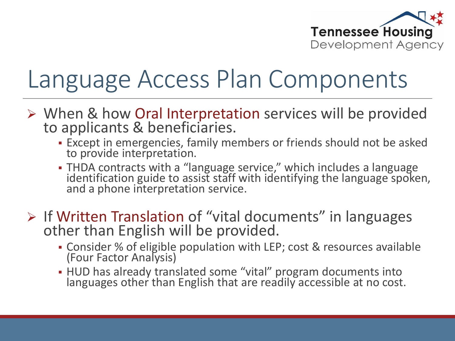

# Language Access Plan Components

- When & how Oral Interpretation services will be provided to applicants & beneficiaries.
	- Except in emergencies, family members or friends should not be asked to provide interpretation.
	- THDA contracts with a "language service," which includes a language identification guide to assist staff with identifying the language spoken, and a phone interpretation service.
- $\triangleright$  If Written Translation of "vital documents" in languages other than English will be provided.
	- Consider % of eligible population with LEP; cost & resources available (Four Factor Analysis)
	- HUD has already translated some "vital" program documents into languages other than English that are readily accessible at no cost.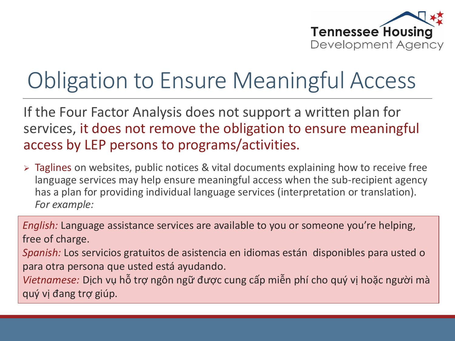

### Obligation to Ensure Meaningful Access

If the Four Factor Analysis does not support a written plan for services, it does not remove the obligation to ensure meaningful access by LEP persons to programs/activities.

 Taglines on websites, public notices & vital documents explaining how to receive free language services may help ensure meaningful access when the sub-recipient agency has a plan for providing individual language services (interpretation or translation). *For example:*

*English:* Language assistance services are available to you or someone you're helping, free of charge.

*Spanish:* Los servicios gratuitos de asistencia en idiomas están disponibles para usted o para otra persona que usted está ayudando.

*Vietnamese:* Dịch vụ hỗ trợ ngôn ngữ được cung cấp miễn phí cho quý vị hoặc người mà quý vị đang trợ giúp.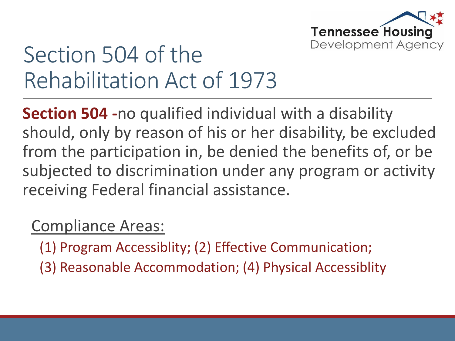

#### Section 504 of the Rehabilitation Act of 1973

**Section 504 -**no qualified individual with a disability should, only by reason of his or her disability, be excluded from the participation in, be denied the benefits of, or be subjected to discrimination under any program or activity receiving Federal financial assistance.

#### Compliance Areas:

(1) Program Accessiblity; (2) Effective Communication;

(3) Reasonable Accommodation; (4) Physical Accessiblity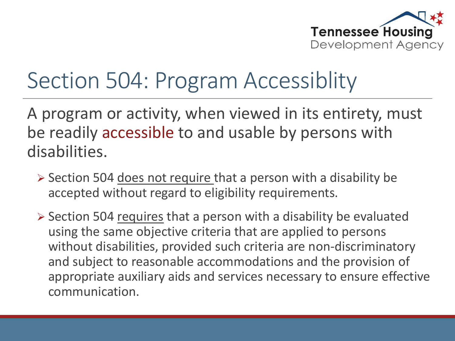

### Section 504: Program Accessiblity

A program or activity, when viewed in its entirety, must be readily accessible to and usable by persons with disabilities.

- Section 504 does not require that a person with a disability be accepted without regard to eligibility requirements.
- $\triangleright$  Section 504 requires that a person with a disability be evaluated using the same objective criteria that are applied to persons without disabilities, provided such criteria are non-discriminatory and subject to reasonable accommodations and the provision of appropriate auxiliary aids and services necessary to ensure effective communication.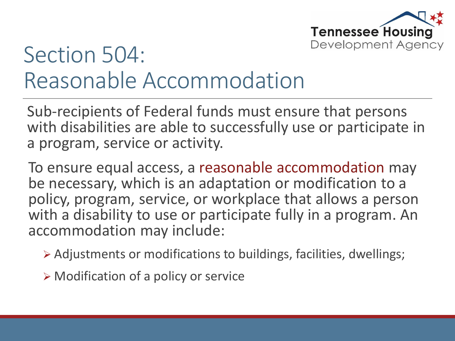

#### Section 504: Reasonable Accommodation

Sub-recipients of Federal funds must ensure that persons with disabilities are able to successfully use or participate in a program, service or activity.

To ensure equal access, a reasonable accommodation may be necessary, which is an adaptation or modification to a policy, program, service, or workplace that allows a person with a disability to use or participate fully in a program. An accommodation may include:

Adjustments or modifications to buildings, facilities, dwellings;

 $\triangleright$  Modification of a policy or service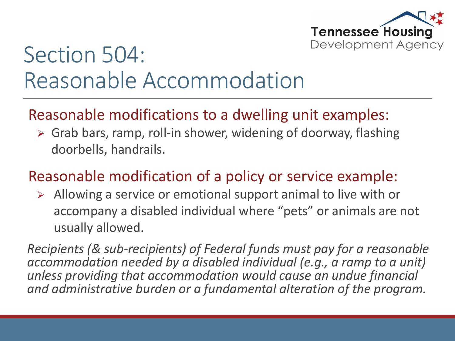

#### Section 504: Reasonable Accommodation

#### Reasonable modifications to a dwelling unit examples:

 Grab bars, ramp, roll-in shower, widening of doorway, flashing doorbells, handrails.

#### Reasonable modification of a policy or service example:

 $\triangleright$  Allowing a service or emotional support animal to live with or accompany a disabled individual where "pets" or animals are not usually allowed.

*Recipients (& sub-recipients) of Federal funds must pay for a reasonable accommodation needed by a disabled individual (e.g., a ramp to a unit) unless providing that accommodation would cause an undue financial and administrative burden or a fundamental alteration of the program.*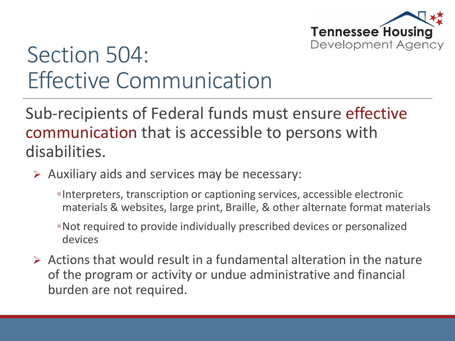

#### Section 504: Effective Communication

Sub-recipients of Federal funds must ensure effective communication that is accessible to persons with disabilities.

- $\triangleright$  Auxiliary aids and services may be necessary:
	- ◦Interpreters, transcription or captioning services, accessible electronic materials & websites, large print, Braille, & other alternate format materials
	- ◦Not required to provide individually prescribed devices or personalized devices
- $\triangleright$  Actions that would result in a fundamental alteration in the nature of the program or activity or undue administrative and financial burden are not required.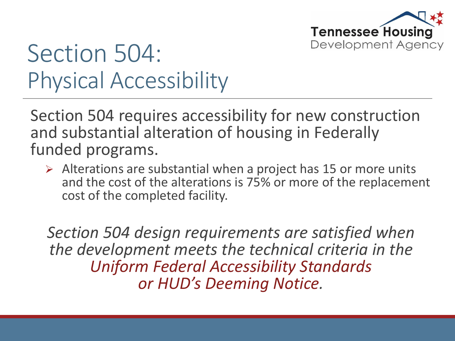

# Section 504: Physical Accessibility

Section 504 requires accessibility for new construction and substantial alteration of housing in Federally funded programs.

 $\triangleright$  Alterations are substantial when a project has 15 or more units and the cost of the alterations is 75% or more of the replacement cost of the completed facility.

*Section 504 design requirements are satisfied when the development meets the technical criteria in the Uniform Federal Accessibility Standards or HUD's Deeming Notice.*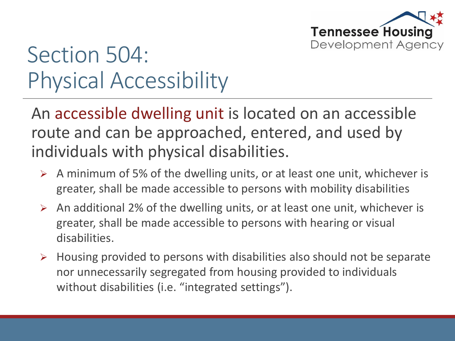

### Section 504: Physical Accessibility

An accessible dwelling unit is located on an accessible route and can be approached, entered, and used by individuals with physical disabilities.

- $\triangleright$  A minimum of 5% of the dwelling units, or at least one unit, whichever is greater, shall be made accessible to persons with mobility disabilities
- $\triangleright$  An additional 2% of the dwelling units, or at least one unit, whichever is greater, shall be made accessible to persons with hearing or visual disabilities.
- $\triangleright$  Housing provided to persons with disabilities also should not be separate nor unnecessarily segregated from housing provided to individuals without disabilities (i.e. "integrated settings").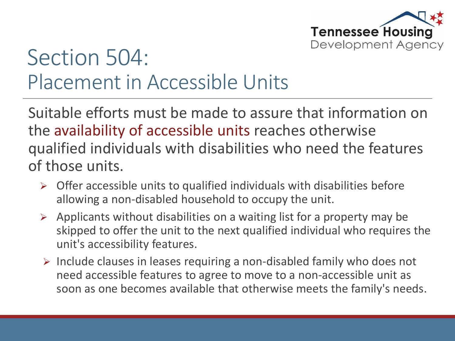

#### Section 504: Placement in Accessible Units

Suitable efforts must be made to assure that information on the availability of accessible units reaches otherwise qualified individuals with disabilities who need the features of those units.

- $\triangleright$  Offer accessible units to qualified individuals with disabilities before allowing a non-disabled household to occupy the unit.
- $\triangleright$  Applicants without disabilities on a waiting list for a property may be skipped to offer the unit to the next qualified individual who requires the unit's accessibility features.
- $\triangleright$  Include clauses in leases requiring a non-disabled family who does not need accessible features to agree to move to a non-accessible unit as soon as one becomes available that otherwise meets the family's needs.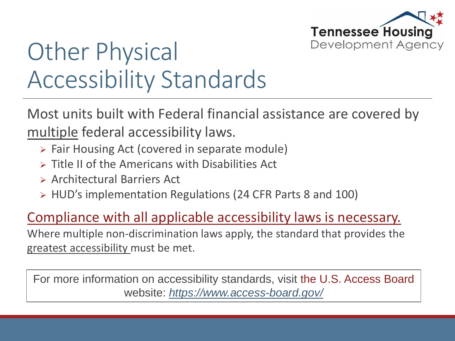

# Other Physical Accessibility Standards

Most units built with Federal financial assistance are covered by multiple federal accessibility laws.

- $\triangleright$  Fair Housing Act (covered in separate module)
- $\triangleright$  Title II of the Americans with Disabilities Act
- Architectural Barriers Act
- HUD's implementation Regulations (24 CFR Parts 8 and 100)

#### Compliance with all applicable accessibility laws is necessary.

Where multiple non-discrimination laws apply, the standard that provides the greatest accessibility must be met.

For more information on accessibility standards, visit the U.S. Access Board website: *<https://www.access-board.gov/>*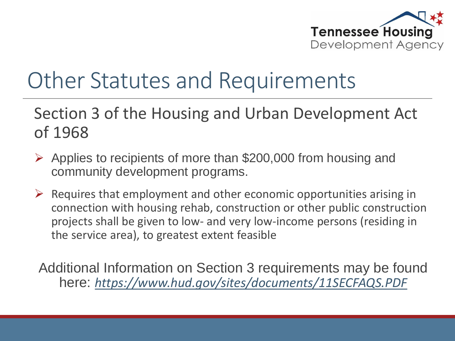

#### Other Statutes and Requirements

#### Section 3 of the Housing and Urban Development Act of 1968

- $\triangleright$  Applies to recipients of more than \$200,000 from housing and community development programs.
- $\triangleright$  Requires that employment and other economic opportunities arising in connection with housing rehab, construction or other public construction projects shall be given to low- and very low-income persons (residing in the service area), to greatest extent feasible

Additional Information on Section 3 requirements may be found here: *<https://www.hud.gov/sites/documents/11SECFAQS.PDF>*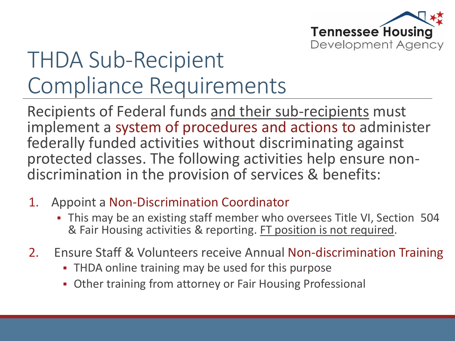

### THDA Sub-Recipient Compliance Requirements

Recipients of Federal funds and their sub-recipients must implement a system of procedures and actions to administer federally funded activities without discriminating against protected classes. The following activities help ensure nondiscrimination in the provision of services & benefits:

- 1. Appoint a Non-Discrimination Coordinator
	- This may be an existing staff member who oversees Title VI, Section 504 & Fair Housing activities & reporting. FT position is not required.
- 2. Ensure Staff & Volunteers receive Annual Non-discrimination Training
	- **THDA online training may be used for this purpose**
	- Other training from attorney or Fair Housing Professional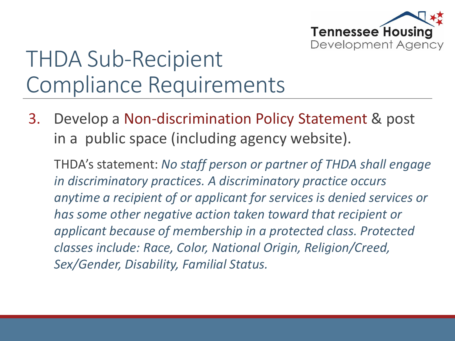

### THDA Sub-Recipient Compliance Requirements

3. Develop a Non-discrimination Policy Statement & post in a public space (including agency website).

THDA's statement: *No staff person or partner of THDA shall engage in discriminatory practices. A discriminatory practice occurs anytime a recipient of or applicant for services is denied services or has some other negative action taken toward that recipient or applicant because of membership in a protected class. Protected classes include: Race, Color, National Origin, Religion/Creed, Sex/Gender, Disability, Familial Status.*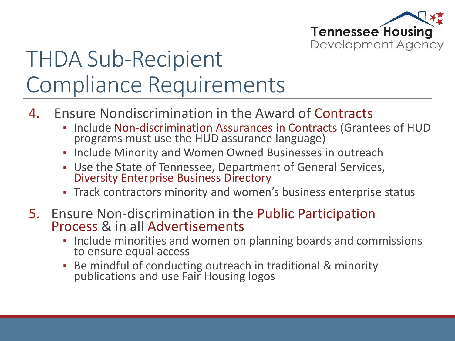

### THDA Sub-Recipient Compliance Requirements

- 4. Ensure Nondiscrimination in the Award of Contracts
	- Include Non-discrimination Assurances in Contracts (Grantees of HUD programs must use the HUD assurance language)
	- **Include Minority and Women Owned Businesses in outreach**
	- Use the State of Tennessee, Department of General Services, **Diversity Enterprise Business Directory**
	- Track contractors minority and women's business enterprise status
- 5. Ensure Non-discrimination in the Public Participation Process & in all Advertisements
	- **Include minorities and women on planning boards and commissions** to ensure equal access
	- Be mindful of conducting outreach in traditional & minority publications and use Fair Housing logos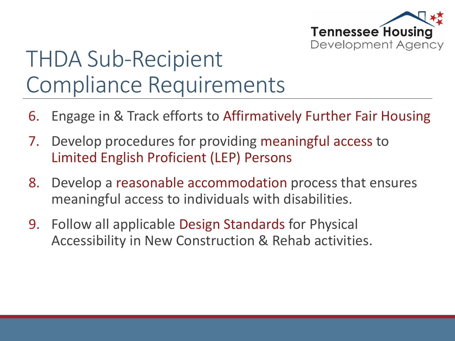

### THDA Sub-Recipient Compliance Requirements

- 6. Engage in & Track efforts to Affirmatively Further Fair Housing
- 7. Develop procedures for providing meaningful access to Limited English Proficient (LEP) Persons
- 8. Develop a reasonable accommodation process that ensures meaningful access to individuals with disabilities.
- 9. Follow all applicable Design Standards for Physical Accessibility in New Construction & Rehab activities.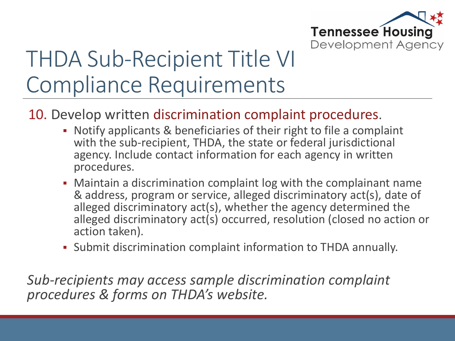

### THDA Sub-Recipient Title VI Compliance Requirements

#### 10. Develop written discrimination complaint procedures.

- Notify applicants & beneficiaries of their right to file a complaint with the sub-recipient, THDA, the state or federal jurisdictional agency. Include contact information for each agency in written procedures.
- Maintain a discrimination complaint log with the complainant name & address, program or service, alleged discriminatory act(s), date of alleged discriminatory act(s), whether the agency determined the alleged discriminatory act(s) occurred, resolution (closed no action or action taken).
- Submit discrimination complaint information to THDA annually.

*Sub-recipients may access sample discrimination complaint procedures & forms on THDA's website.*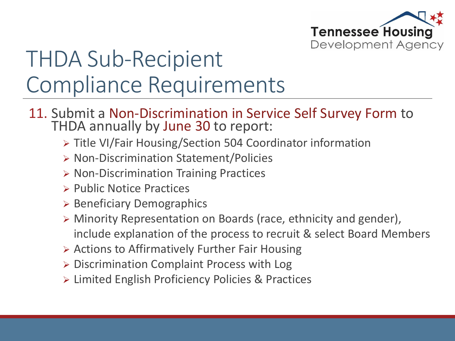

### THDA Sub-Recipient Compliance Requirements

- 11. Submit a Non-Discrimination in Service Self Survey Form to THDA annually by June 30 to report:
	- ▶ Title VI/Fair Housing/Section 504 Coordinator information
	- ▶ Non-Discrimination Statement/Policies
	- $\triangleright$  Non-Discrimination Training Practices
	- $\triangleright$  Public Notice Practices
	- $\triangleright$  Beneficiary Demographics
	- Minority Representation on Boards (race, ethnicity and gender), include explanation of the process to recruit & select Board Members
	- Actions to Affirmatively Further Fair Housing
	- Discrimination Complaint Process with Log
	- Limited English Proficiency Policies & Practices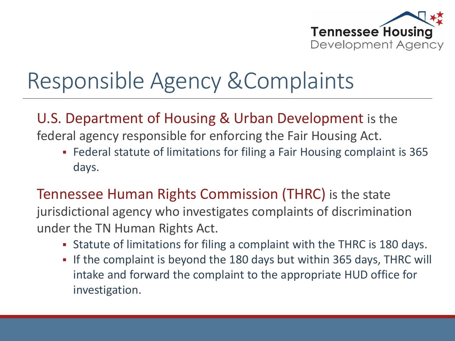

### Responsible Agency &Complaints

#### U.S. Department of Housing & Urban Development is the

federal agency responsible for enforcing the Fair Housing Act.

 Federal statute of limitations for filing a Fair Housing complaint is 365 days.

#### Tennessee Human Rights Commission (THRC) is the state

jurisdictional agency who investigates complaints of discrimination under the TN Human Rights Act.

- Statute of limitations for filing a complaint with the THRC is 180 days.
- If the complaint is beyond the 180 days but within 365 days, THRC will intake and forward the complaint to the appropriate HUD office for investigation.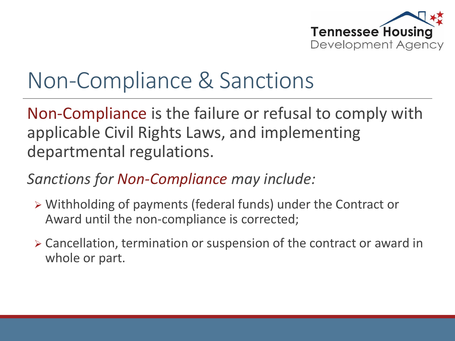

#### Non-Compliance & Sanctions

Non-Compliance is the failure or refusal to comply with applicable Civil Rights Laws, and implementing departmental regulations.

#### *Sanctions for Non-Compliance may include:*

- Withholding of payments (federal funds) under the Contract or Award until the non-compliance is corrected;
- Cancellation, termination or suspension of the contract or award in whole or part.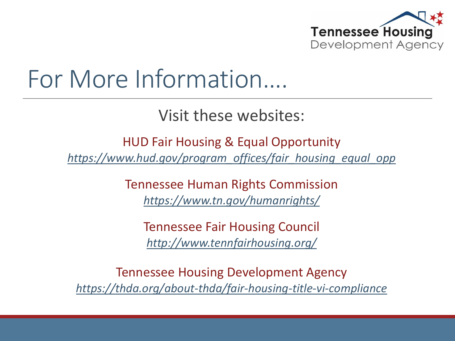

# For More Information….

Visit these websites:

HUD Fair Housing & Equal Opportunity *[https://www.hud.gov/program\\_offices/fair\\_housing\\_equal\\_opp](https://www.hud.gov/program_offices/fair_housing_equal_opp)*

> Tennessee Human Rights Commission *<https://www.tn.gov/humanrights/>*

Tennessee Fair Housing Council *<http://www.tennfairhousing.org/>*

Tennessee Housing Development Agency *<https://thda.org/about-thda/fair-housing-title-vi-compliance>*